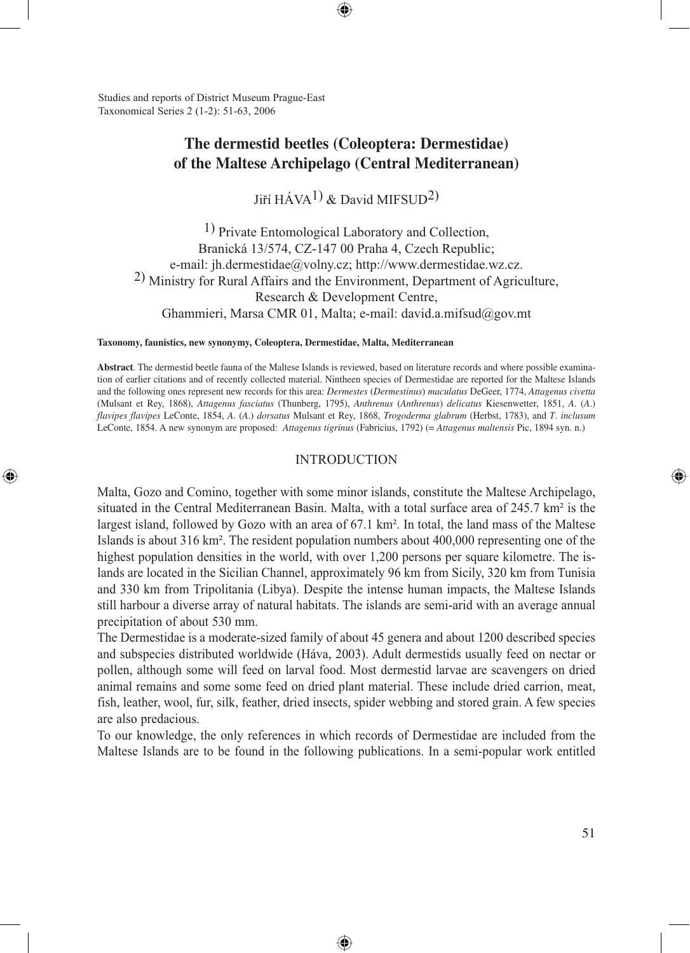Studies and reports of District Museum Prague-East Taxonomical Series 2 (1-2): 51-63, 2006

⊕

# **The dermestid beetles (Coleoptera: Dermestidae) of the Maltese Archipelago (Central Mediterranean)**

⊕

Jiří  $H\acute{A}VA^{1}$  & David MIFSUD<sup>2</sup>)

1) Private Entomological Laboratory and Collection, Branická 13/574, CZ-147 00 Praha 4, Czech Republic; e-mail: jh.dermestidae@volny.cz; http://www.dermestidae.wz.cz. 2) Ministry for Rural Affairs and the Environment, Department of Agriculture, Research & Development Centre, Ghammieri, Marsa CMR 01, Malta; e-mail: david.a.mifsud@gov.mt

#### **Taxonomy, faunistics, new synonymy, Coleoptera, Dermestidae, Malta, Mediterranean**

**Abstract**. The dermestid beetle fauna of the Maltese Islands is reviewed, based on literature records and where possible examination of earlier citations and of recently collected material. Nintheen species of Dermestidae are reported for the Maltese Islands and the following ones represent new records for this area: *Dermestes* (*Dermestinus*) *maculatus* DeGeer, 1774, *Attagenus civetta* (Mulsant et Rey, 1868), *Attagenus fasciatus* (Thunberg, 1795), *Anthrenus* (*Anthrenus*) *delicatus* Kiesenwetter, 1851, *A*. (*A*.) *flavipes flavipes* LeConte, 1854, *A*. (*A*.) *dorsatus* Mulsant et Rey, 1868, *Trogoderma glabrum* (Herbst, 1783), and *T*. *inclusum* LeConte, 1854. A new synonym are proposed: *Attagenus tigrinus* (Fabricius, 1792) (= *Attagenus maltensis* Pic, 1894 syn. n.)

### INTRODUCTION

Malta, Gozo and Comino, together with some minor islands, constitute the Maltese Archipelago, situated in the Central Mediterranean Basin. Malta, with a total surface area of 245.7 km² is the largest island, followed by Gozo with an area of 67.1 km². In total, the land mass of the Maltese Islands is about 316 km². The resident population numbers about 400,000 representing one of the highest population densities in the world, with over 1,200 persons per square kilometre. The islands are located in the Sicilian Channel, approximately 96 km from Sicily, 320 km from Tunisia and 330 km from Tripolitania (Libya). Despite the intense human impacts, the Maltese Islands still harbour a diverse array of natural habitats. The islands are semi-arid with an average annual precipitation of about 530 mm.

The Dermestidae is a moderate-sized family of about 45 genera and about 1200 described species and subspecies distributed worldwide (Háva, 2003). Adult dermestids usually feed on nectar or pollen, although some will feed on larval food. Most dermestid larvae are scavengers on dried animal remains and some some feed on dried plant material. These include dried carrion, meat, fish, leather, wool, fur, silk, feather, dried insects, spider webbing and stored grain. A few species are also predacious.

To our knowledge, the only references in which records of Dermestidae are included from the Maltese Islands are to be found in the following publications. In a semi-popular work entitled

⊕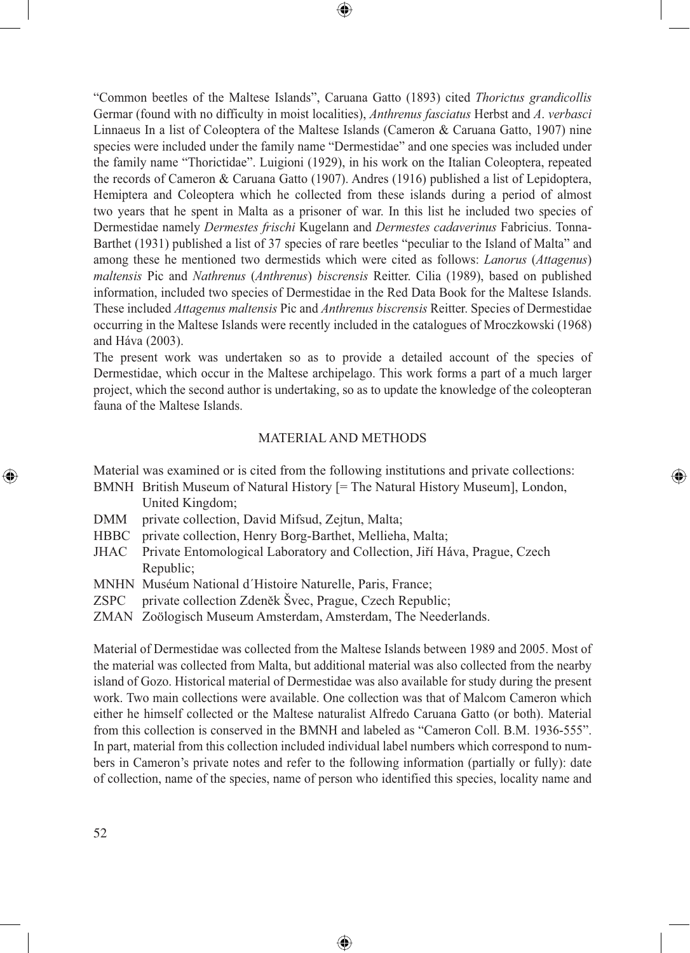"Common beetles of the Maltese Islands", Caruana Gatto (1893) cited *Thorictus grandicollis* Germar (found with no difficulty in moist localities), *Anthrenus fasciatus* Herbst and *A*. *verbasci* Linnaeus In a list of Coleoptera of the Maltese Islands (Cameron & Caruana Gatto, 1907) nine species were included under the family name "Dermestidae" and one species was included under the family name "Thorictidae". Luigioni (1929), in his work on the Italian Coleoptera, repeated the records of Cameron & Caruana Gatto (1907). Andres (1916) published a list of Lepidoptera, Hemiptera and Coleoptera which he collected from these islands during a period of almost two years that he spent in Malta as a prisoner of war. In this list he included two species of Dermestidae namely *Dermestes frischi* Kugelann and *Dermestes cadaverinus* Fabricius. Tonna-Barthet (1931) published a list of 37 species of rare beetles "peculiar to the Island of Malta" and among these he mentioned two dermestids which were cited as follows: *Lanorus* (*Attagenus*) *maltensis* Pic and *Nathrenus* (*Anthrenus*) *biscrensis* Reitter. Cilia (1989), based on published information, included two species of Dermestidae in the Red Data Book for the Maltese Islands. These included *Attagenus maltensis* Pic and *Anthrenus biscrensis* Reitter. Species of Dermestidae occurring in the Maltese Islands were recently included in the catalogues of Mroczkowski (1968) and Háva (2003).

⊕

The present work was undertaken so as to provide a detailed account of the species of Dermestidae, which occur in the Maltese archipelago. This work forms a part of a much larger project, which the second author is undertaking, so as to update the knowledge of the coleopteran fauna of the Maltese Islands.

### MATERIAL AND METHODS

⊕

Material was examined or is cited from the following institutions and private collections:

- BMNH British Museum of Natural History [= The Natural History Museum], London, United Kingdom;
- DMM private collection, David Mifsud, Zejtun, Malta;
- HBBC private collection, Henry Borg-Barthet, Mellieha, Malta;
- JHAC Private Entomological Laboratory and Collection, Jiří Háva, Prague, Czech Republic;
- MNHN Muséum National d´Histoire Naturelle, Paris, France;
- ZSPC private collection Zdeněk Švec, Prague, Czech Republic;
- ZMAN Zoölogisch Museum Amsterdam, Amsterdam, The Neederlands.

Material of Dermestidae was collected from the Maltese Islands between 1989 and 2005. Most of the material was collected from Malta, but additional material was also collected from the nearby island of Gozo. Historical material of Dermestidae was also available for study during the present work. Two main collections were available. One collection was that of Malcom Cameron which either he himself collected or the Maltese naturalist Alfredo Caruana Gatto (or both). Material from this collection is conserved in the BMNH and labeled as "Cameron Coll. B.M. 1936-555". In part, material from this collection included individual label numbers which correspond to numbers in Cameron's private notes and refer to the following information (partially or fully): date of collection, name of the species, name of person who identified this species, locality name and

⊕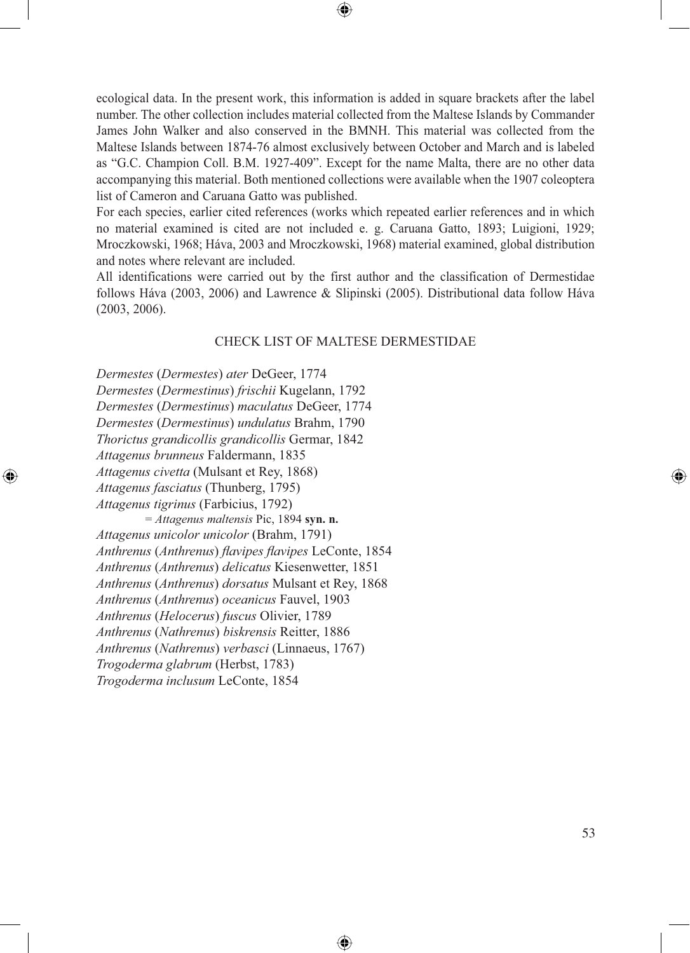$\bigcirc$ 

ecological data. In the present work, this information is added in square brackets after the label number. The other collection includes material collected from the Maltese Islands by Commander James John Walker and also conserved in the BMNH. This material was collected from the Maltese Islands between 1874-76 almost exclusively between October and March and is labeled as "G.C. Champion Coll. B.M. 1927-409". Except for the name Malta, there are no other data accompanying this material. Both mentioned collections were available when the 1907 coleoptera list of Cameron and Caruana Gatto was published.

For each species, earlier cited references (works which repeated earlier references and in which no material examined is cited are not included e. g. Caruana Gatto, 1893; Luigioni, 1929; Mroczkowski, 1968; Háva, 2003 and Mroczkowski, 1968) material examined, global distribution and notes where relevant are included.

All identifications were carried out by the first author and the classification of Dermestidae follows Háva (2003, 2006) and Lawrence & Slipinski (2005). Distributional data follow Háva (2003, 2006).

### CHECK LIST OF MALTESE DERMESTIDAE

⊕

*Dermestes* (*Dermestes*) *ater* DeGeer, 1774 *Dermestes* (*Dermestinus*) *frischii* Kugelann, 1792 *Dermestes* (*Dermestinus*) *maculatus* DeGeer, 1774 *Dermestes* (*Dermestinus*) *undulatus* Brahm, 1790 *Thorictus grandicollis grandicollis* Germar, 1842 *Attagenus brunneus* Faldermann, 1835 *Attagenus civetta* (Mulsant et Rey, 1868) *Attagenus fasciatus* (Thunberg, 1795) *Attagenus tigrinus* (Farbicius, 1792)

⊕

*= Attagenus maltensis* Pic, 1894 **syn. n.** *Attagenus unicolor unicolor* (Brahm, 1791) *Anthrenus* (*Anthrenus*) *flavipes flavipes* LeConte, 1854 *Anthrenus* (*Anthrenus*) *delicatus* Kiesenwetter, 1851 *Anthrenus* (*Anthrenus*) *dorsatus* Mulsant et Rey, 1868 *Anthrenus* (*Anthrenus*) *oceanicus* Fauvel, 1903 *Anthrenus* (*Helocerus*) *fuscus* Olivier, 1789 *Anthrenus* (*Nathrenus*) *biskrensis* Reitter, 1886 *Anthrenus* (*Nathrenus*) *verbasci* (Linnaeus, 1767) *Trogoderma glabrum* (Herbst, 1783) *Trogoderma inclusum* LeConte, 1854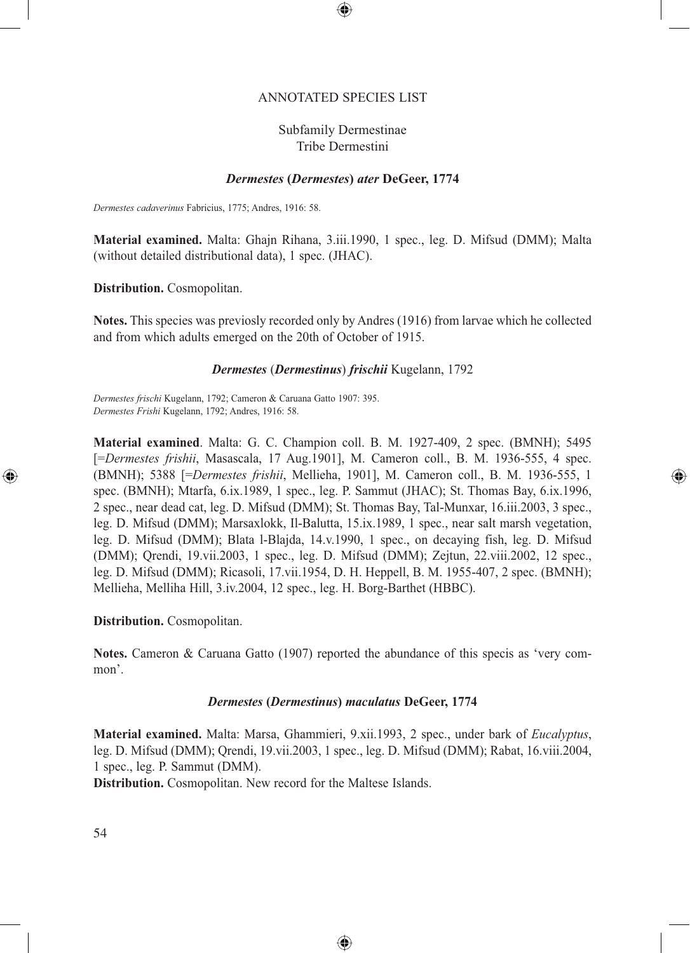### ANNOTATED SPECIES LIST

⊕

## Subfamily Dermestinae Tribe Dermestini

## *Dermestes* **(***Dermestes***)** *ater* **DeGeer, 1774**

*Dermestes cadaverinus* Fabricius, 1775; Andres, 1916: 58.

**Material examined.** Malta: Ghajn Rihana, 3.iii.1990, 1 spec., leg. D. Mifsud (DMM); Malta (without detailed distributional data), 1 spec. (JHAC).

**Distribution.** Cosmopolitan.

**Notes.** This species was previosly recorded only by Andres (1916) from larvae which he collected and from which adults emerged on the 20th of October of 1915.

### *Dermestes* (*Dermestinus*) *frischii* Kugelann, 1792

*Dermestes frischi* Kugelann, 1792; Cameron & Caruana Gatto 1907: 395. *Dermestes Frishi* Kugelann, 1792; Andres, 1916: 58.

**Material examined**. Malta: G. C. Champion coll. B. M. 1927-409, 2 spec. (BMNH); 5495 [=*Dermestes frishii*, Masascala, 17 Aug.1901], M. Cameron coll., B. M. 1936-555, 4 spec. (BMNH); 5388 [=*Dermestes frishii*, Mellieha, 1901], M. Cameron coll., B. M. 1936-555, 1 spec. (BMNH); Mtarfa, 6.ix.1989, 1 spec., leg. P. Sammut (JHAC); St. Thomas Bay, 6.ix.1996, 2 spec., near dead cat, leg. D. Mifsud (DMM); St. Thomas Bay, Tal-Munxar, 16.iii.2003, 3 spec., leg. D. Mifsud (DMM); Marsaxlokk, Il-Balutta, 15.ix.1989, 1 spec., near salt marsh vegetation, leg. D. Mifsud (DMM); Blata l-Blajda, 14.v.1990, 1 spec., on decaying fish, leg. D. Mifsud (DMM); Qrendi, 19.vii.2003, 1 spec., leg. D. Mifsud (DMM); Zejtun, 22.viii.2002, 12 spec., leg. D. Mifsud (DMM); Ricasoli, 17.vii.1954, D. H. Heppell, B. M. 1955-407, 2 spec. (BMNH); Mellieha, Melliha Hill, 3.iv.2004, 12 spec., leg. H. Borg-Barthet (HBBC).

⊕

**Distribution.** Cosmopolitan.

**Notes.** Cameron & Caruana Gatto (1907) reported the abundance of this specis as 'very common'.

#### *Dermestes* **(***Dermestinus***)** *maculatus* **DeGeer, 1774**

**Material examined.** Malta: Marsa, Ghammieri, 9.xii.1993, 2 spec., under bark of *Eucalyptus*, leg. D. Mifsud (DMM); Qrendi, 19.vii.2003, 1 spec., leg. D. Mifsud (DMM); Rabat, 16.viii.2004, 1 spec., leg. P. Sammut (DMM).

⊕

**Distribution.** Cosmopolitan. New record for the Maltese Islands.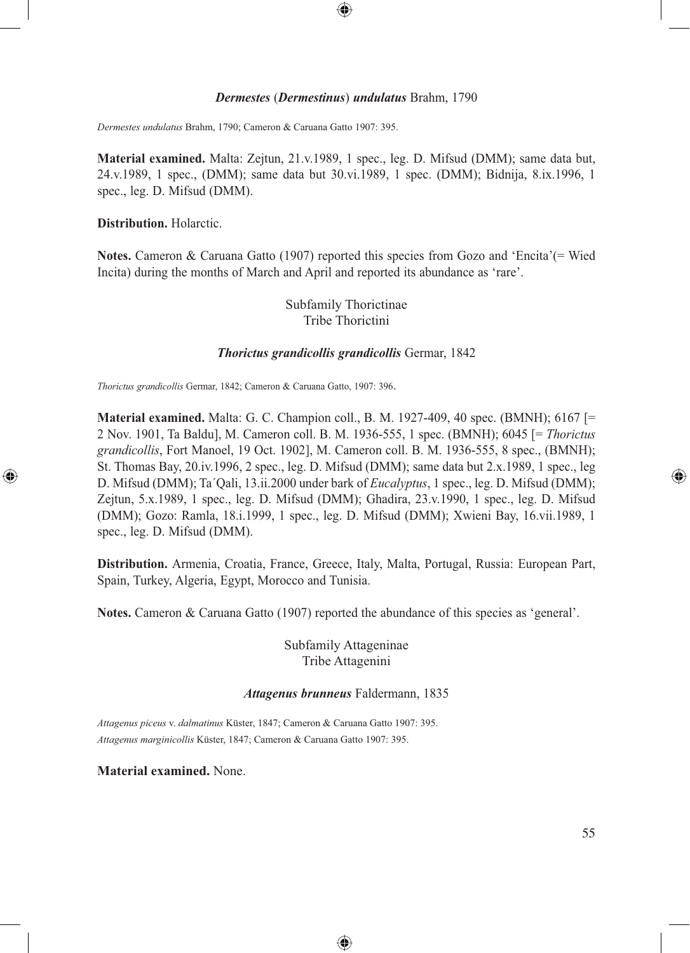#### *Dermestes* (*Dermestinus*) *undulatus* Brahm, 1790

⊕

*Dermestes undulatus* Brahm, 1790; Cameron & Caruana Gatto 1907: 395.

**Material examined.** Malta: Zejtun, 21.v.1989, 1 spec., leg. D. Mifsud (DMM); same data but, 24.v.1989, 1 spec., (DMM); same data but 30.vi.1989, 1 spec. (DMM); Bidnija, 8.ix.1996, 1 spec., leg. D. Mifsud (DMM).

#### **Distribution.** Holarctic.

⊕

**Notes.** Cameron & Caruana Gatto (1907) reported this species from Gozo and 'Encita'(= Wied Incita) during the months of March and April and reported its abundance as 'rare'.

> Subfamily Thorictinae Tribe Thorictini

#### *Thorictus grandicollis grandicollis* Germar, 1842

*Thorictus grandicollis* Germar, 1842; Cameron & Caruana Gatto, 1907: 396.

**Material examined.** Malta: G. C. Champion coll., B. M. 1927-409, 40 spec. (BMNH); 6167 [= 2 Nov. 1901, Ta Baldu], M. Cameron coll. B. M. 1936-555, 1 spec. (BMNH); 6045 [= *Thorictus grandicollis*, Fort Manoel, 19 Oct. 1902], M. Cameron coll. B. M. 1936-555, 8 spec., (BMNH); St. Thomas Bay, 20.iv.1996, 2 spec., leg. D. Mifsud (DMM); same data but 2.x.1989, 1 spec., leg D. Mifsud (DMM); Ta´Qali, 13.ii.2000 under bark of *Eucalyptus*, 1 spec., leg. D. Mifsud (DMM); Zejtun, 5.x.1989, 1 spec., leg. D. Mifsud (DMM); Ghadira, 23.v.1990, 1 spec., leg. D. Mifsud (DMM); Gozo: Ramla, 18.i.1999, 1 spec., leg. D. Mifsud (DMM); Xwieni Bay, 16.vii.1989, 1 spec., leg. D. Mifsud (DMM).

**Distribution.** Armenia, Croatia, France, Greece, Italy, Malta, Portugal, Russia: European Part, Spain, Turkey, Algeria, Egypt, Morocco and Tunisia.

**Notes.** Cameron & Caruana Gatto (1907) reported the abundance of this species as 'general'.

Subfamily Attageninae Tribe Attagenini

### *Attagenus brunneus* Faldermann, 1835

⊕

*Attagenus piceus* v. *dalmatinus* Küster, 1847; Cameron & Caruana Gatto 1907: 395. *Attagenus marginicollis* Küster, 1847; Cameron & Caruana Gatto 1907: 395.

**Material examined.** None.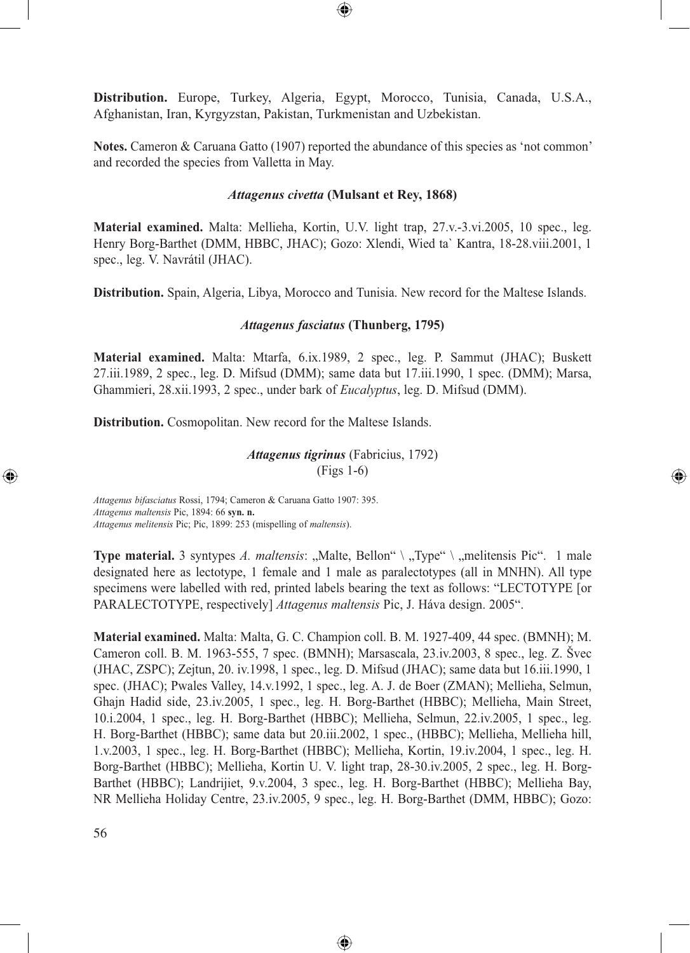**Distribution.** Europe, Turkey, Algeria, Egypt, Morocco, Tunisia, Canada, U.S.A., Afghanistan, Iran, Kyrgyzstan, Pakistan, Turkmenistan and Uzbekistan.

⊕

**Notes.** Cameron & Caruana Gatto (1907) reported the abundance of this species as 'not common' and recorded the species from Valletta in May.

### *Attagenus civetta* **(Mulsant et Rey, 1868)**

**Material examined.** Malta: Mellieha, Kortin, U.V. light trap, 27.v.-3.vi.2005, 10 spec., leg. Henry Borg-Barthet (DMM, HBBC, JHAC); Gozo: Xlendi, Wied ta` Kantra, 18-28.viii.2001, 1 spec., leg. V. Navrátil (JHAC).

**Distribution.** Spain, Algeria, Libya, Morocco and Tunisia. New record for the Maltese Islands.

### *Attagenus fasciatus* **(Thunberg, 1795)**

**Material examined.** Malta: Mtarfa, 6.ix.1989, 2 spec., leg. P. Sammut (JHAC); Buskett 27.iii.1989, 2 spec., leg. D. Mifsud (DMM); same data but 17.iii.1990, 1 spec. (DMM); Marsa, Ghammieri, 28.xii.1993, 2 spec., under bark of *Eucalyptus*, leg. D. Mifsud (DMM).

**Distribution.** Cosmopolitan. New record for the Maltese Islands.

*Attagenus tigrinus* (Fabricius, 1792) (Figs 1-6)

⊕

*Attagenus bifasciatus* Rossi, 1794; Cameron & Caruana Gatto 1907: 395. *Attagenus maltensis* Pic, 1894: 66 **syn. n.**  *Attagenus melitensis* Pic; Pic, 1899: 253 (mispelling of *maltensis*).

**Type material.** 3 syntypes *A. maltensis*: "Malte, Bellon" \ "Type" \ "melitensis Pic". 1 male designated here as lectotype, 1 female and 1 male as paralectotypes (all in MNHN). All type specimens were labelled with red, printed labels bearing the text as follows: "LECTOTYPE [or PARALECTOTYPE, respectively] *Attagenus maltensis* Pic, J. Háva design. 2005".

**Material examined.** Malta: Malta, G. C. Champion coll. B. M. 1927-409, 44 spec. (BMNH); M. Cameron coll. B. M. 1963-555, 7 spec. (BMNH); Marsascala, 23.iv.2003, 8 spec., leg. Z. Švec (JHAC, ZSPC); Zejtun, 20. iv.1998, 1 spec., leg. D. Mifsud (JHAC); same data but 16.iii.1990, 1 spec. (JHAC); Pwales Valley, 14.v.1992, 1 spec., leg. A. J. de Boer (ZMAN); Mellieha, Selmun, Ghajn Hadid side, 23.iv.2005, 1 spec., leg. H. Borg-Barthet (HBBC); Mellieha, Main Street, 10.i.2004, 1 spec., leg. H. Borg-Barthet (HBBC); Mellieha, Selmun, 22.iv.2005, 1 spec., leg. H. Borg-Barthet (HBBC); same data but 20.iii.2002, 1 spec., (HBBC); Mellieha, Mellieha hill, 1.v.2003, 1 spec., leg. H. Borg-Barthet (HBBC); Mellieha, Kortin, 19.iv.2004, 1 spec., leg. H. Borg-Barthet (HBBC); Mellieha, Kortin U. V. light trap, 28-30.iv.2005, 2 spec., leg. H. Borg-Barthet (HBBC); Landrijiet, 9.v.2004, 3 spec., leg. H. Borg-Barthet (HBBC); Mellieha Bay, NR Mellieha Holiday Centre, 23.iv.2005, 9 spec., leg. H. Borg-Barthet (DMM, HBBC); Gozo:

◈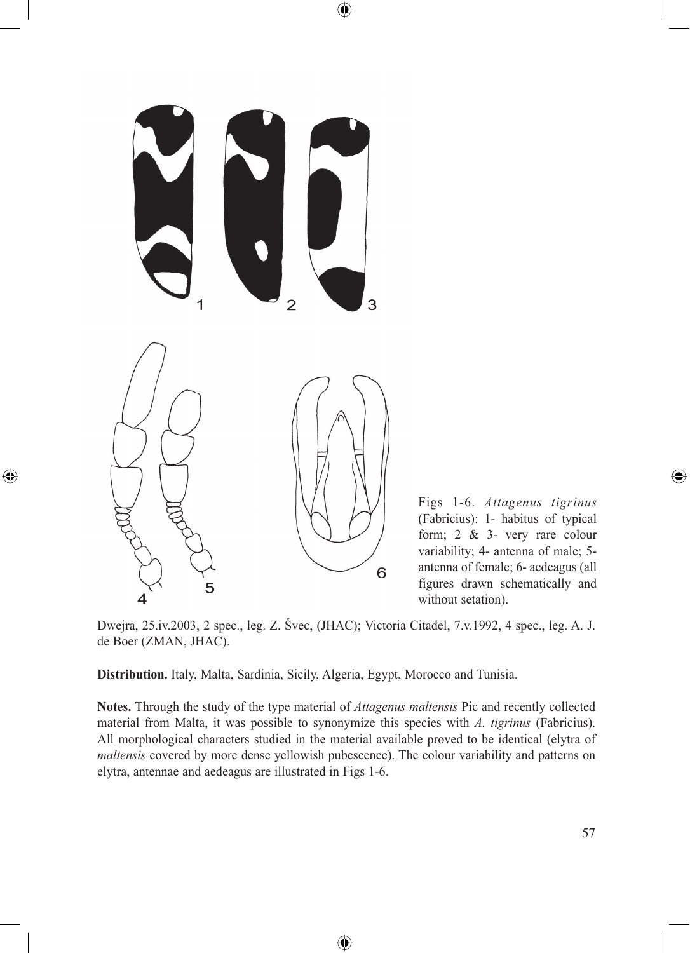

 $\bigoplus$ 

Figs 1-6. *Attagenus tigrinus* (Fabricius): 1- habitus of typical form; 2 & 3- very rare colour variability; 4- antenna of male; 5 antenna of female; 6- aedeagus (all figures drawn schematically and without setation).

Dwejra, 25.iv.2003, 2 spec., leg. Z. Švec, (JHAC); Victoria Citadel, 7.v.1992, 4 spec., leg. A. J. de Boer (ZMAN, JHAC).

 $\bigoplus$ 

**Distribution.** Italy, Malta, Sardinia, Sicily, Algeria, Egypt, Morocco and Tunisia.

**Notes.** Through the study of the type material of *Attagenus maltensis* Pic and recently collected material from Malta, it was possible to synonymize this species with *A. tigrinus* (Fabricius). All morphological characters studied in the material available proved to be identical (elytra of *maltensis* covered by more dense yellowish pubescence). The colour variability and patterns on elytra, antennae and aedeagus are illustrated in Figs 1-6.

⊕

 $\bigoplus$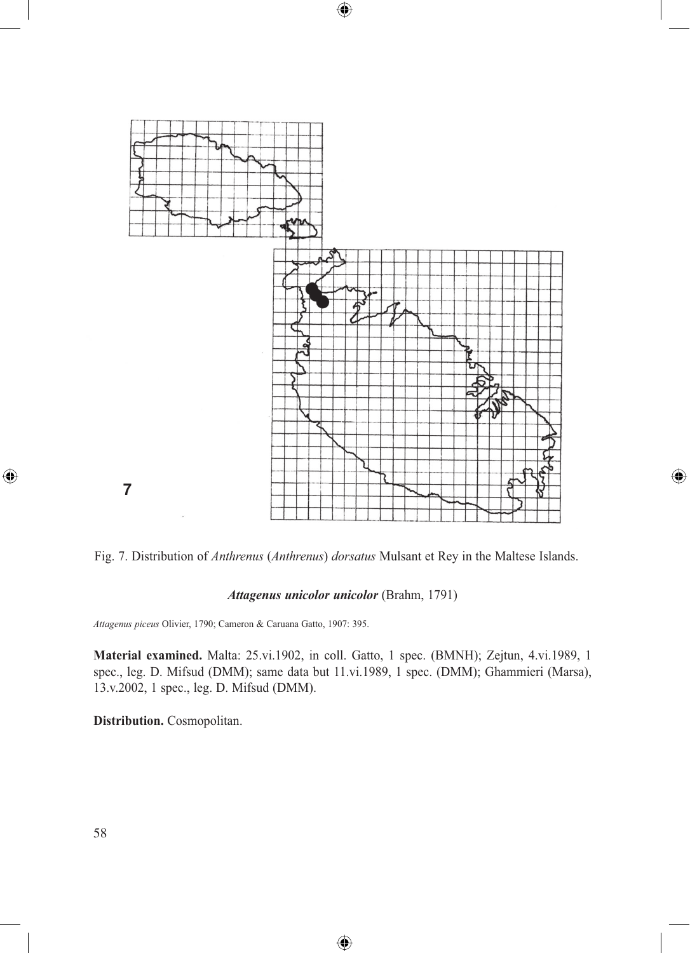

 $\bigoplus$ 

Fig. 7. Distribution of *Anthrenus* (*Anthrenus*) *dorsatus* Mulsant et Rey in the Maltese Islands.

 $\bigoplus$ 

## *Attagenus unicolor unicolor* (Brahm, 1791)

*Attagenus piceus* Olivier, 1790; Cameron & Caruana Gatto, 1907: 395.

**Material examined.** Malta: 25.vi.1902, in coll. Gatto, 1 spec. (BMNH); Zejtun, 4.vi.1989, 1 spec., leg. D. Mifsud (DMM); same data but 11.vi.1989, 1 spec. (DMM); Ghammieri (Marsa), 13.v.2002, 1 spec., leg. D. Mifsud (DMM).

⊕

**Distribution.** Cosmopolitan.

 $\bigoplus$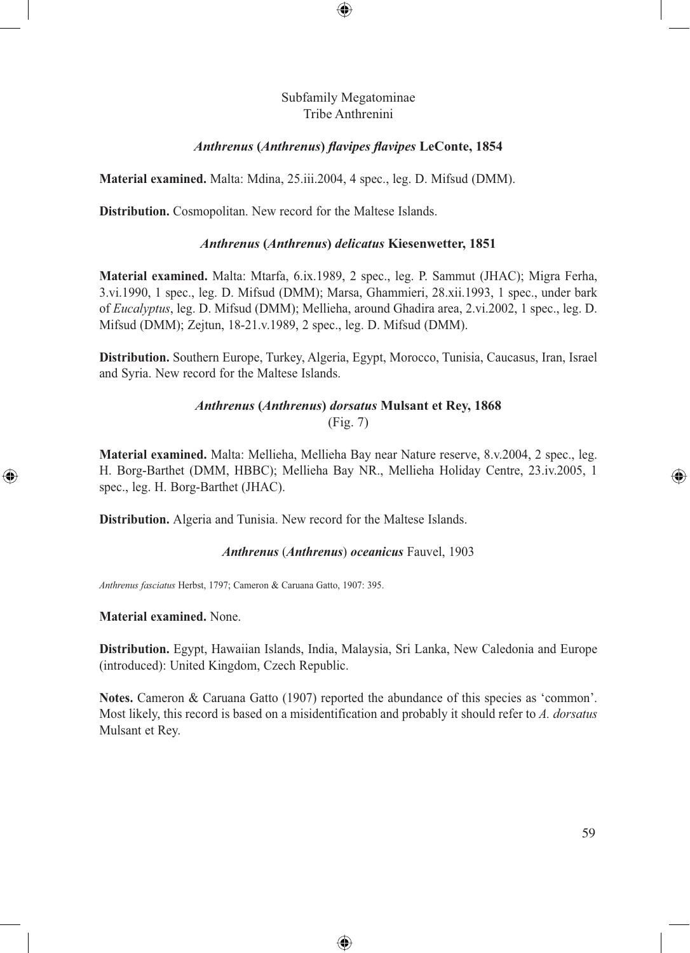## Subfamily Megatominae Tribe Anthrenini

 $\bigcirc$ 

## *Anthrenus* **(***Anthrenus***)** *flavipes flavipes* **LeConte, 1854**

**Material examined.** Malta: Mdina, 25.iii.2004, 4 spec., leg. D. Mifsud (DMM).

**Distribution.** Cosmopolitan. New record for the Maltese Islands.

### *Anthrenus* **(***Anthrenus***)** *delicatus* **Kiesenwetter, 1851**

**Material examined.** Malta: Mtarfa, 6.ix.1989, 2 spec., leg. P. Sammut (JHAC); Migra Ferha, 3.vi.1990, 1 spec., leg. D. Mifsud (DMM); Marsa, Ghammieri, 28.xii.1993, 1 spec., under bark of *Eucalyptus*, leg. D. Mifsud (DMM); Mellieha, around Ghadira area, 2.vi.2002, 1 spec., leg. D. Mifsud (DMM); Zejtun, 18-21.v.1989, 2 spec., leg. D. Mifsud (DMM).

**Distribution.** Southern Europe, Turkey, Algeria, Egypt, Morocco, Tunisia, Caucasus, Iran, Israel and Syria. New record for the Maltese Islands.

# *Anthrenus* **(***Anthrenus***)** *dorsatus* **Mulsant et Rey, 1868** (Fig. 7)

**Material examined.** Malta: Mellieha, Mellieha Bay near Nature reserve, 8.v.2004, 2 spec., leg. H. Borg-Barthet (DMM, HBBC); Mellieha Bay NR., Mellieha Holiday Centre, 23.iv.2005, 1 spec., leg. H. Borg-Barthet (JHAC).

**Distribution.** Algeria and Tunisia. New record for the Maltese Islands.

### *Anthrenus* (*Anthrenus*) *oceanicus* Fauvel, 1903

*Anthrenus fasciatus* Herbst, 1797; Cameron & Caruana Gatto, 1907: 395.

**Material examined.** None.

⊕

**Distribution.** Egypt, Hawaiian Islands, India, Malaysia, Sri Lanka, New Caledonia and Europe (introduced): United Kingdom, Czech Republic.

**Notes.** Cameron & Caruana Gatto (1907) reported the abundance of this species as 'common'. Most likely, this record is based on a misidentification and probably it should refer to *A. dorsatus* Mulsant et Rey.

⊕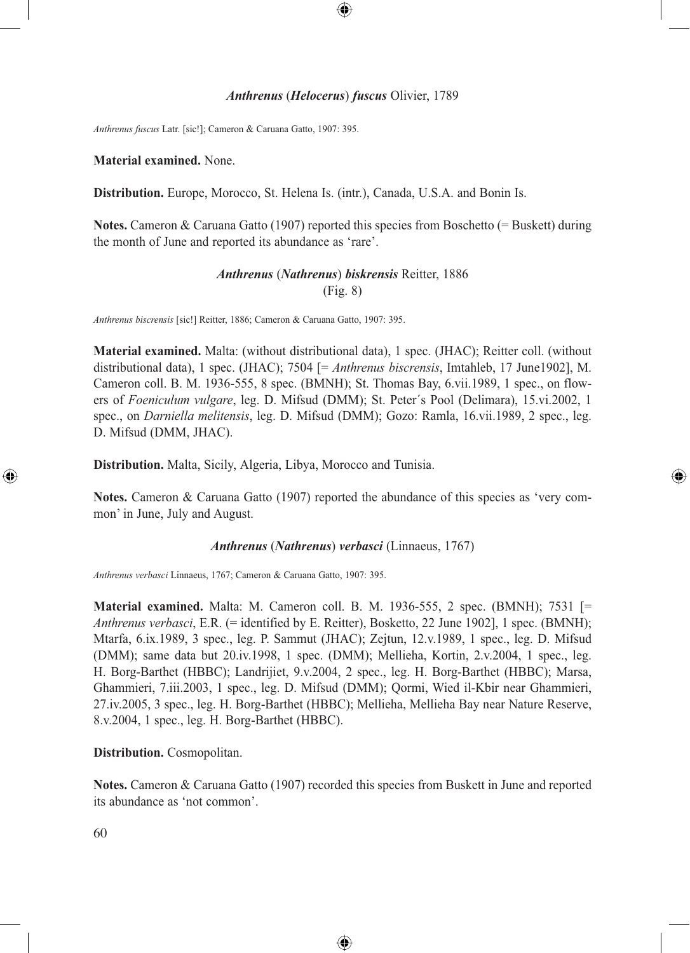#### *Anthrenus* (*Helocerus*) *fuscus* Olivier, 1789

⊕

*Anthrenus fuscus* Latr. [sic!]; Cameron & Caruana Gatto, 1907: 395.

**Material examined.** None.

**Distribution.** Europe, Morocco, St. Helena Is. (intr.), Canada, U.S.A. and Bonin Is.

**Notes.** Cameron & Caruana Gatto (1907) reported this species from Boschetto (= Buskett) during the month of June and reported its abundance as 'rare'.

## *Anthrenus* (*Nathrenus*) *biskrensis* Reitter, 1886 (Fig. 8)

*Anthrenus biscrensis* [sic!] Reitter, 1886; Cameron & Caruana Gatto, 1907: 395.

**Material examined.** Malta: (without distributional data), 1 spec. (JHAC); Reitter coll. (without distributional data), 1 spec. (JHAC); 7504 [= *Anthrenus biscrensis*, Imtahleb, 17 June1902], M. Cameron coll. B. M. 1936-555, 8 spec. (BMNH); St. Thomas Bay, 6.vii.1989, 1 spec., on flowers of *Foeniculum vulgare*, leg. D. Mifsud (DMM); St. Peter´s Pool (Delimara), 15.vi.2002, 1 spec., on *Darniella melitensis*, leg. D. Mifsud (DMM); Gozo: Ramla, 16.vii.1989, 2 spec., leg. D. Mifsud (DMM, JHAC).

**Distribution.** Malta, Sicily, Algeria, Libya, Morocco and Tunisia.

**Notes.** Cameron & Caruana Gatto (1907) reported the abundance of this species as 'very common' in June, July and August.

⊕

#### *Anthrenus* (*Nathrenus*) *verbasci* (Linnaeus, 1767)

*Anthrenus verbasci* Linnaeus, 1767; Cameron & Caruana Gatto, 1907: 395.

**Material examined.** Malta: M. Cameron coll. B. M. 1936-555, 2 spec. (BMNH); 7531 [= *Anthrenus verbasci*, E.R. (= identified by E. Reitter), Bosketto, 22 June 1902], 1 spec. (BMNH); Mtarfa, 6.ix.1989, 3 spec., leg. P. Sammut (JHAC); Zejtun, 12.v.1989, 1 spec., leg. D. Mifsud (DMM); same data but 20.iv.1998, 1 spec. (DMM); Mellieha, Kortin, 2.v.2004, 1 spec., leg. H. Borg-Barthet (HBBC); Landrijiet, 9.v.2004, 2 spec., leg. H. Borg-Barthet (HBBC); Marsa, Ghammieri, 7.iii.2003, 1 spec., leg. D. Mifsud (DMM); Qormi, Wied il-Kbir near Ghammieri, 27.iv.2005, 3 spec., leg. H. Borg-Barthet (HBBC); Mellieha, Mellieha Bay near Nature Reserve, 8.v.2004, 1 spec., leg. H. Borg-Barthet (HBBC).

### **Distribution.** Cosmopolitan.

**Notes.** Cameron & Caruana Gatto (1907) recorded this species from Buskett in June and reported its abundance as 'not common'.

◈

60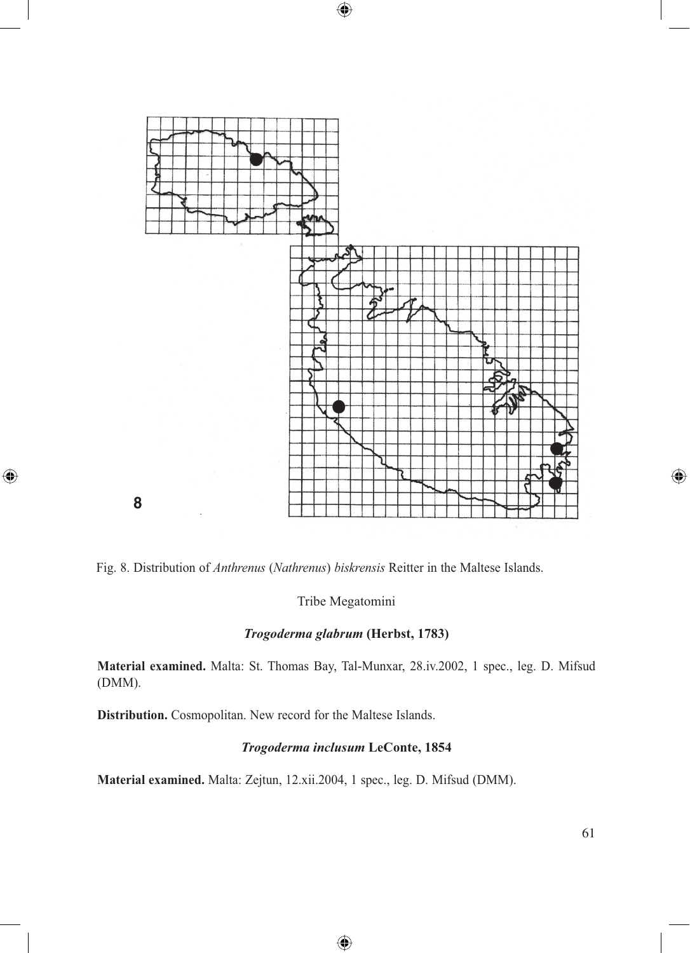

 $\bigoplus$ 

**8**

 $\bigoplus$ 

Fig. 8. Distribution of *Anthrenus* (*Nathrenus*) *biskrensis* Reitter in the Maltese Islands.

Tribe Megatomini

## *Trogoderma glabrum* **(Herbst, 1783)**

**Material examined.** Malta: St. Thomas Bay, Tal-Munxar, 28.iv.2002, 1 spec., leg. D. Mifsud (DMM).

**Distribution.** Cosmopolitan. New record for the Maltese Islands.

# *Trogoderma inclusum* **LeConte, 1854**

◈

**Material examined.** Malta: Zejtun, 12.xii.2004, 1 spec., leg. D. Mifsud (DMM).

 $\bigoplus$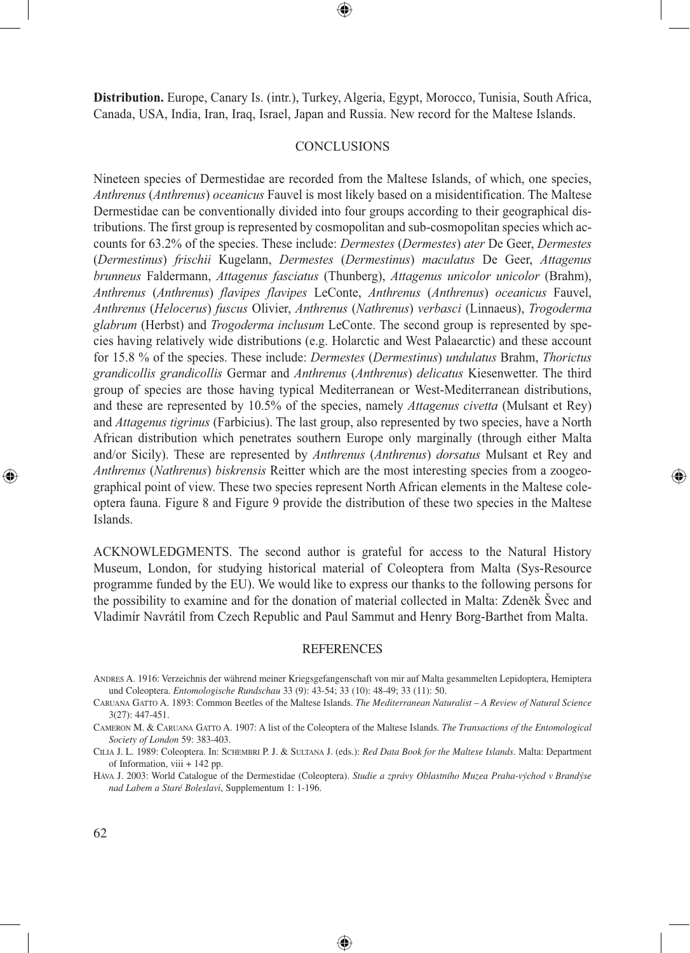**Distribution.** Europe, Canary Is. (intr.), Turkey, Algeria, Egypt, Morocco, Tunisia, South Africa, Canada, USA, India, Iran, Iraq, Israel, Japan and Russia. New record for the Maltese Islands.

## **CONCLUSIONS**

Nineteen species of Dermestidae are recorded from the Maltese Islands, of which, one species, *Anthrenus* (*Anthrenus*) *oceanicus* Fauvel is most likely based on a misidentification. The Maltese Dermestidae can be conventionally divided into four groups according to their geographical distributions. The first group is represented by cosmopolitan and sub-cosmopolitan species which accounts for 63.2% of the species. These include: *Dermestes* (*Dermestes*) *ater* De Geer, *Dermestes* (*Dermestinus*) *frischii* Kugelann, *Dermestes* (*Dermestinus*) *maculatus* De Geer, *Attagenus brunneus* Faldermann, *Attagenus fasciatus* (Thunberg), *Attagenus unicolor unicolor* (Brahm), *Anthrenus* (*Anthrenus*) *flavipes flavipes* LeConte, *Anthrenus* (*Anthrenus*) *oceanicus* Fauvel, *Anthrenus* (*Helocerus*) *fuscus* Olivier, *Anthrenus* (*Nathrenus*) *verbasci* (Linnaeus), *Trogoderma glabrum* (Herbst) and *Trogoderma inclusum* LeConte. The second group is represented by species having relatively wide distributions (e.g. Holarctic and West Palaearctic) and these account for 15.8 % of the species. These include: *Dermestes* (*Dermestinus*) *undulatus* Brahm, *Thorictus grandicollis grandicollis* Germar and *Anthrenus* (*Anthrenus*) *delicatus* Kiesenwetter. The third group of species are those having typical Mediterranean or West-Mediterranean distributions, and these are represented by 10.5% of the species, namely *Attagenus civetta* (Mulsant et Rey) and *Attagenus tigrinus* (Farbicius). The last group, also represented by two species, have a North African distribution which penetrates southern Europe only marginally (through either Malta and/or Sicily). These are represented by *Anthrenus* (*Anthrenus*) *dorsatus* Mulsant et Rey and *Anthrenus* (*Nathrenus*) *biskrensis* Reitter which are the most interesting species from a zoogeographical point of view. These two species represent North African elements in the Maltese coleoptera fauna. Figure 8 and Figure 9 provide the distribution of these two species in the Maltese Islands.

ACKNOWLEDGMENTS. The second author is grateful for access to the Natural History Museum, London, for studying historical material of Coleoptera from Malta (Sys-Resource programme funded by the EU). We would like to express our thanks to the following persons for the possibility to examine and for the donation of material collected in Malta: Zdeněk Švec and Vladimír Navrátil from Czech Republic and Paul Sammut and Henry Borg-Barthet from Malta.

⊕

#### REFERENCES

⊕

↔

ANDRES A. 1916: Verzeichnis der während meiner Kriegsgefangenschaft von mir auf Malta gesammelten Lepidoptera, Hemiptera und Coleoptera. *Entomologische Rundschau* 33 (9): 43-54; 33 (10): 48-49; 33 (11): 50.

CARUANA GATTO A. 1893: Common Beetles of the Maltese Islands. *The Mediterranean Naturalist – A Review of Natural Science* 3(27): 447-451.

CAMERON M. & CARUANA GATTO A. 1907: A list of the Coleoptera of the Maltese Islands. *The Transactions of the Entomological Society of London* 59: 383-403.

CILIA J. L. 1989: Coleoptera. In: SCHEMBRI P. J. & SULTANA J. (eds.): *Red Data Book for the Maltese Islands*. Malta: Department of Information, viii + 142 pp.

HÁVA J. 2003: World Catalogue of the Dermestidae (Coleoptera). *Studie a zprávy Oblastního Muzea Praha-východ v Brandýse nad Labem a Staré Boleslavi*, Supplementum 1: 1-196.